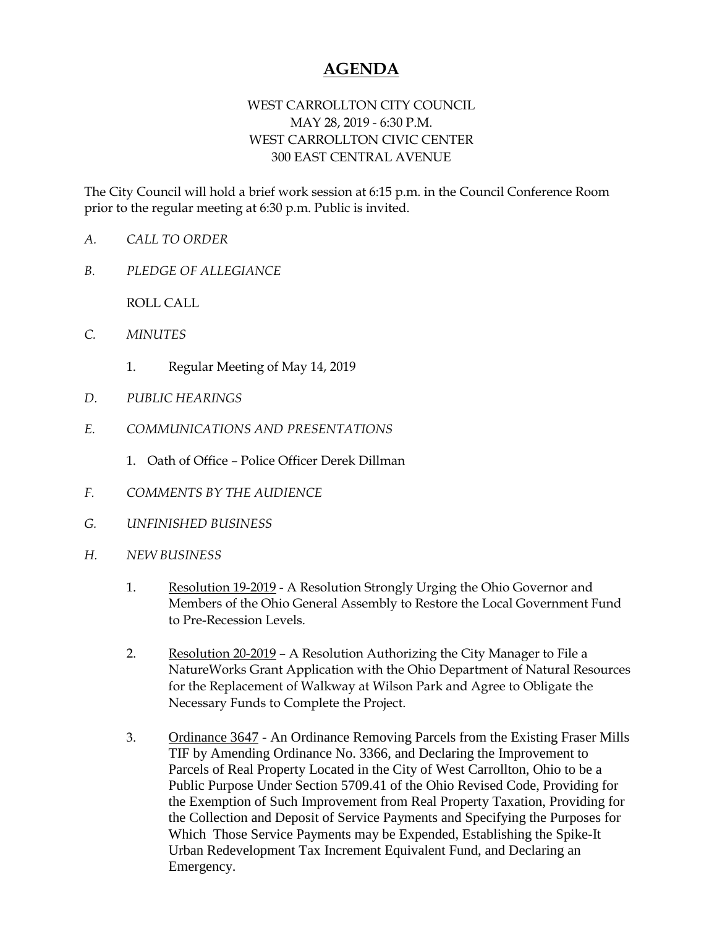## **AGENDA**

## WEST CARROLLTON CITY COUNCIL MAY 28, 2019 - 6:30 P.M. WEST CARROLLTON CIVIC CENTER 300 EAST CENTRAL AVENUE

The City Council will hold a brief work session at 6:15 p.m. in the Council Conference Room prior to the regular meeting at 6:30 p.m. Public is invited.

- *A. CALL TO ORDER*
- *B. PLEDGE OF ALLEGIANCE*

ROLL CALL

- *C. MINUTES* 
	- 1. Regular Meeting of May 14, 2019
- *D. PUBLIC HEARINGS*
- *E. COMMUNICATIONS AND PRESENTATIONS* 
	- 1. Oath of Office Police Officer Derek Dillman
- *F. COMMENTS BY THE AUDIENCE*
- *G. UNFINISHED BUSINESS*
- *H. NEW BUSINESS* 
	- 1. Resolution 19-2019 A Resolution Strongly Urging the Ohio Governor and Members of the Ohio General Assembly to Restore the Local Government Fund to Pre-Recession Levels.
	- 2. Resolution 20-2019 A Resolution Authorizing the City Manager to File a NatureWorks Grant Application with the Ohio Department of Natural Resources for the Replacement of Walkway at Wilson Park and Agree to Obligate the Necessary Funds to Complete the Project.
	- 3. Ordinance 3647 An Ordinance Removing Parcels from the Existing Fraser Mills TIF by Amending Ordinance No. 3366, and Declaring the Improvement to Parcels of Real Property Located in the City of West Carrollton, Ohio to be a Public Purpose Under Section 5709.41 of the Ohio Revised Code, Providing for the Exemption of Such Improvement from Real Property Taxation, Providing for the Collection and Deposit of Service Payments and Specifying the Purposes for Which Those Service Payments may be Expended, Establishing the Spike-It Urban Redevelopment Tax Increment Equivalent Fund, and Declaring an Emergency.